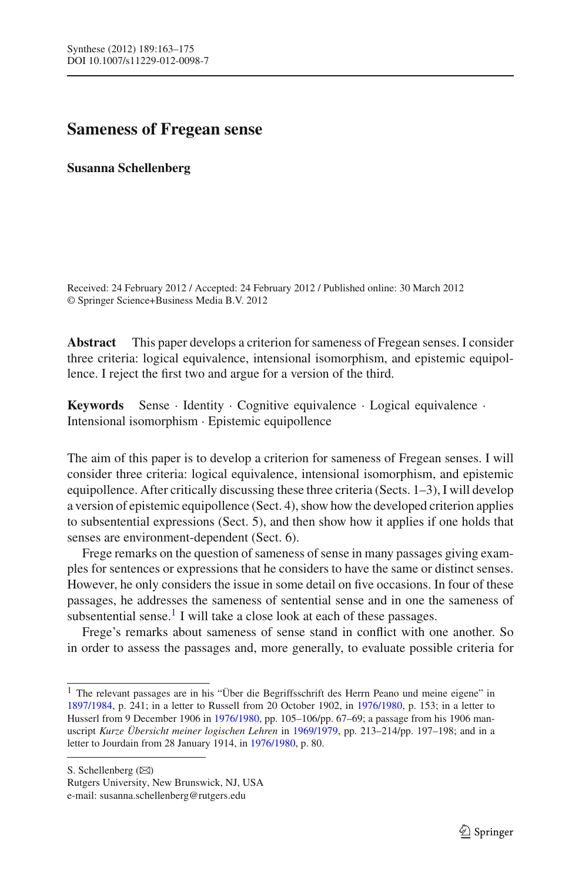# **Sameness of Fregean sense**

# **Susanna Schellenberg**

Received: 24 February 2012 / Accepted: 24 February 2012 / Published online: 30 March 2012 © Springer Science+Business Media B.V. 2012

**Abstract** This paper develops a criterion for sameness of Fregean senses. I consider three criteria: logical equivalence, intensional isomorphism, and epistemic equipollence. I reject the first two and argue for a version of the third.

**Keywords** Sense · Identity · Cognitive equivalence · Logical equivalence · Intensional isomorphism · Epistemic equipollence

The aim of this paper is to develop a criterion for sameness of Fregean senses. I will consider three criteria: logical equivalence, intensional isomorphism, and epistemic equipollence. After critically discussing these three criteria (Sects. 1–3), I will develop a version of epistemic equipollence (Sect. 4), show how the developed criterion applies to subsentential expressions (Sect. 5), and then show how it applies if one holds that senses are environment-dependent (Sect. 6).

Frege remarks on the question of sameness of sense in many passages giving examples for sentences or expressions that he considers to have the same or distinct senses. However, he only considers the issue in some detail on five occasions. In four of these passages, he addresses the sameness of sentential sense and in one the sameness of subsentential sense.<sup>1</sup> I will take a close look at each of these passages.

Frege's remarks about sameness of sense stand in conflict with one another. So in order to assess the passages and, more generally, to evaluate possible criteria for

S. Schellenberg ( $\boxtimes$ )

Rutgers University, New Brunswick, NJ, USA

<sup>&</sup>lt;sup>1</sup> The relevant passages are in his "Über die Begriffsschrift des Herrn Peano und meine eigene" in 1897/1984, p. 241; in a letter to Russell from 20 October 1902, in 1976/1980, p. 153; in a letter to Husserl from 9 December 1906 in 1976/1980, pp. 105–106/pp. 67–69; a passage from his 1906 manuscript *Kurze Übersicht meiner logischen Lehren* in 1969/1979, pp. 213–214/pp. 197–198; and in a letter to Jourdain from 28 January 1914, in 1976/1980, p. 80.

e-mail: susanna.schellenberg@rutgers.edu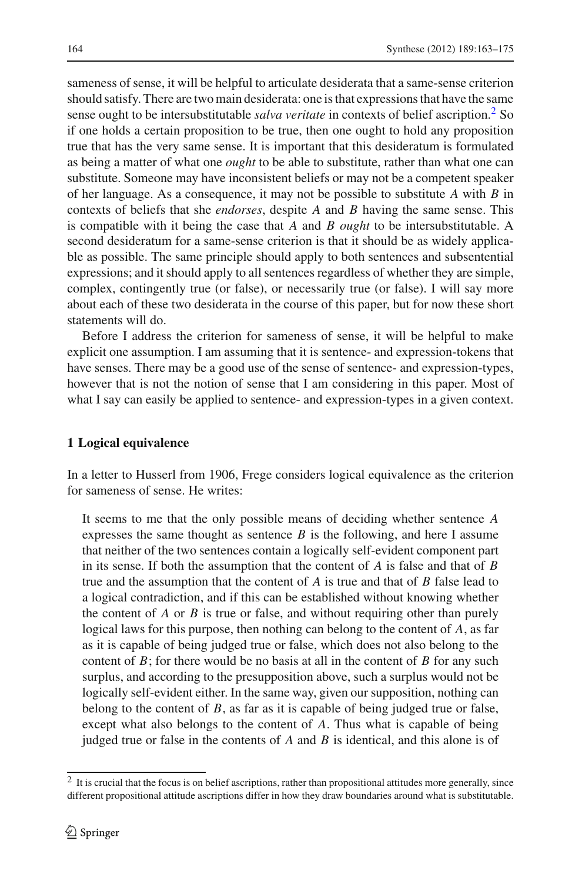sameness of sense, it will be helpful to articulate desiderata that a same-sense criterion should satisfy. There are two main desiderata: one is that expressions that have the same sense ought to be intersubstitutable *salva veritate* in contexts of belief ascription.2 So if one holds a certain proposition to be true, then one ought to hold any proposition true that has the very same sense. It is important that this desideratum is formulated as being a matter of what one *ought* to be able to substitute, rather than what one can substitute. Someone may have inconsistent beliefs or may not be a competent speaker of her language. As a consequence, it may not be possible to substitute *A* with *B* in contexts of beliefs that she *endorses*, despite *A* and *B* having the same sense. This is compatible with it being the case that *A* and *B ought* to be intersubstitutable. A second desideratum for a same-sense criterion is that it should be as widely applicable as possible. The same principle should apply to both sentences and subsentential expressions; and it should apply to all sentences regardless of whether they are simple, complex, contingently true (or false), or necessarily true (or false). I will say more about each of these two desiderata in the course of this paper, but for now these short statements will do.

Before I address the criterion for sameness of sense, it will be helpful to make explicit one assumption. I am assuming that it is sentence- and expression-tokens that have senses. There may be a good use of the sense of sentence- and expression-types, however that is not the notion of sense that I am considering in this paper. Most of what I say can easily be applied to sentence- and expression-types in a given context.

### **1 Logical equivalence**

In a letter to Husserl from 1906, Frege considers logical equivalence as the criterion for sameness of sense. He writes:

It seems to me that the only possible means of deciding whether sentence *A* expresses the same thought as sentence  $B$  is the following, and here I assume that neither of the two sentences contain a logically self-evident component part in its sense. If both the assumption that the content of *A* is false and that of *B* true and the assumption that the content of *A* is true and that of *B* false lead to a logical contradiction, and if this can be established without knowing whether the content of *A* or *B* is true or false, and without requiring other than purely logical laws for this purpose, then nothing can belong to the content of *A*, as far as it is capable of being judged true or false, which does not also belong to the content of *B*; for there would be no basis at all in the content of *B* for any such surplus, and according to the presupposition above, such a surplus would not be logically self-evident either. In the same way, given our supposition, nothing can belong to the content of *B*, as far as it is capable of being judged true or false, except what also belongs to the content of *A*. Thus what is capable of being judged true or false in the contents of *A* and *B* is identical, and this alone is of

<sup>&</sup>lt;sup>2</sup> It is crucial that the focus is on belief ascriptions, rather than propositional attitudes more generally, since different propositional attitude ascriptions differ in how they draw boundaries around what is substitutable.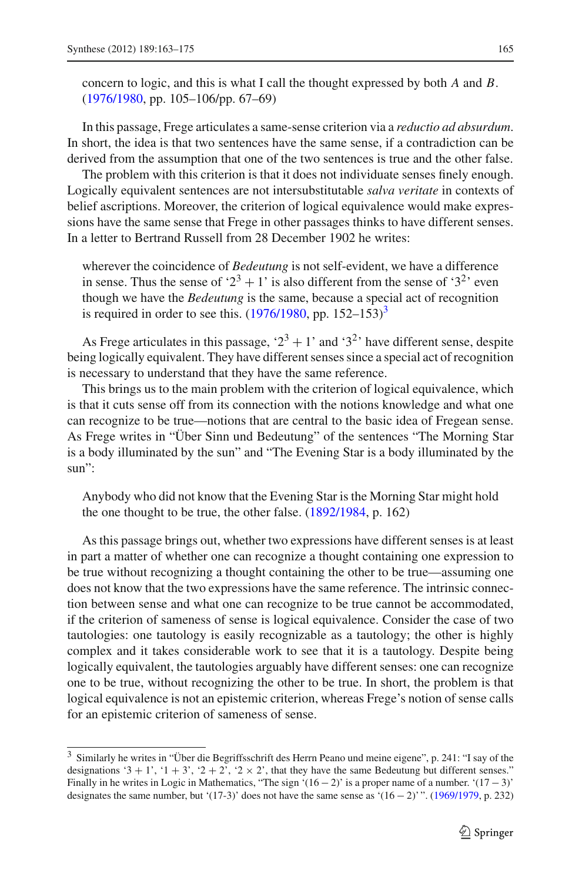concern to logic, and this is what I call the thought expressed by both *A* and *B*. (1976/1980, pp. 105–106/pp. 67–69)

In this passage, Frege articulates a same-sense criterion via a *reductio ad absurdum*. In short, the idea is that two sentences have the same sense, if a contradiction can be derived from the assumption that one of the two sentences is true and the other false.

The problem with this criterion is that it does not individuate senses finely enough. Logically equivalent sentences are not intersubstitutable *salva veritate* in contexts of belief ascriptions. Moreover, the criterion of logical equivalence would make expressions have the same sense that Frege in other passages thinks to have different senses. In a letter to Bertrand Russell from 28 December 1902 he writes:

wherever the coincidence of *Bedeutung* is not self-evident, we have a difference in sense. Thus the sense of ' $2^3 + 1$ ' is also different from the sense of ' $3^2$ ' even though we have the *Bedeutung* is the same, because a special act of recognition is required in order to see this.  $(1976/1980, pp. 152-153)^3$ 

As Frege articulates in this passage, ' $2^3 + 1$ ' and ' $3^2$ ' have different sense, despite being logically equivalent. They have different senses since a special act of recognition is necessary to understand that they have the same reference.

This brings us to the main problem with the criterion of logical equivalence, which is that it cuts sense off from its connection with the notions knowledge and what one can recognize to be true—notions that are central to the basic idea of Fregean sense. As Frege writes in "Über Sinn und Bedeutung" of the sentences "The Morning Star is a body illuminated by the sun" and "The Evening Star is a body illuminated by the sun":

Anybody who did not know that the Evening Star is the Morning Star might hold the one thought to be true, the other false. (1892/1984, p. 162)

As this passage brings out, whether two expressions have different senses is at least in part a matter of whether one can recognize a thought containing one expression to be true without recognizing a thought containing the other to be true—assuming one does not know that the two expressions have the same reference. The intrinsic connection between sense and what one can recognize to be true cannot be accommodated, if the criterion of sameness of sense is logical equivalence. Consider the case of two tautologies: one tautology is easily recognizable as a tautology; the other is highly complex and it takes considerable work to see that it is a tautology. Despite being logically equivalent, the tautologies arguably have different senses: one can recognize one to be true, without recognizing the other to be true. In short, the problem is that logical equivalence is not an epistemic criterion, whereas Frege's notion of sense calls for an epistemic criterion of sameness of sense.

<sup>3</sup> Similarly he writes in "Über die Begriffsschrift des Herrn Peano und meine eigene", p. 241: "I say of the designations '3 + 1', '1 + 3', '2 + 2', '2 × 2', that they have the same Bedeutung but different senses." Finally in he writes in Logic in Mathematics, "The sign '(16 – 2)' is a proper name of a number. '(17 – 3)' designates the same number, but '(17-3)' does not have the same sense as '(16 − 2)'". (1969/1979, p. 232)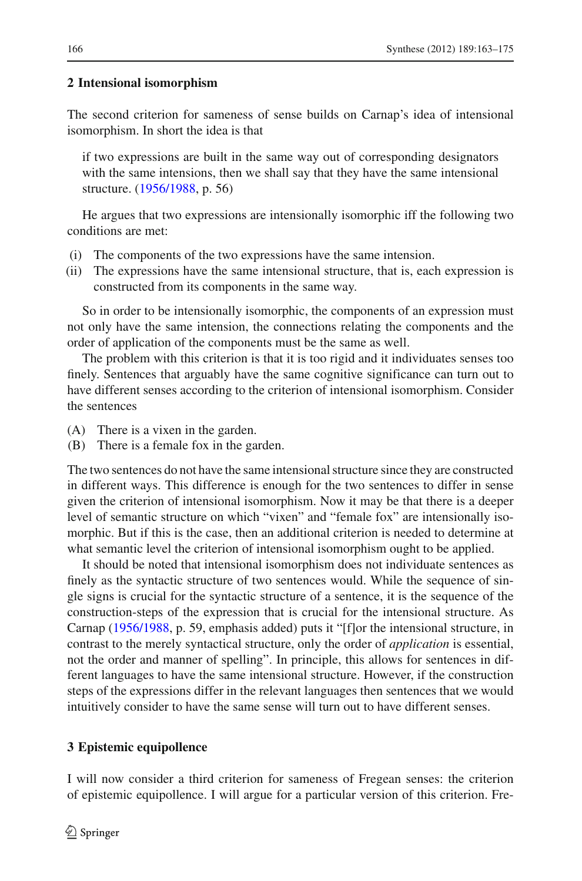# **2 Intensional isomorphism**

The second criterion for sameness of sense builds on Carnap's idea of intensional isomorphism. In short the idea is that

if two expressions are built in the same way out of corresponding designators with the same intensions, then we shall say that they have the same intensional structure. (1956/1988, p. 56)

He argues that two expressions are intensionally isomorphic iff the following two conditions are met:

- (i) The components of the two expressions have the same intension.
- (ii) The expressions have the same intensional structure, that is, each expression is constructed from its components in the same way.

So in order to be intensionally isomorphic, the components of an expression must not only have the same intension, the connections relating the components and the order of application of the components must be the same as well.

The problem with this criterion is that it is too rigid and it individuates senses too finely. Sentences that arguably have the same cognitive significance can turn out to have different senses according to the criterion of intensional isomorphism. Consider the sentences

- (A) There is a vixen in the garden.
- (B) There is a female fox in the garden.

The two sentences do not have the same intensional structure since they are constructed in different ways. This difference is enough for the two sentences to differ in sense given the criterion of intensional isomorphism. Now it may be that there is a deeper level of semantic structure on which "vixen" and "female fox" are intensionally isomorphic. But if this is the case, then an additional criterion is needed to determine at what semantic level the criterion of intensional isomorphism ought to be applied.

It should be noted that intensional isomorphism does not individuate sentences as finely as the syntactic structure of two sentences would. While the sequence of single signs is crucial for the syntactic structure of a sentence, it is the sequence of the construction-steps of the expression that is crucial for the intensional structure. As Carnap (1956/1988, p. 59, emphasis added) puts it "[f]or the intensional structure, in contrast to the merely syntactical structure, only the order of *application* is essential, not the order and manner of spelling". In principle, this allows for sentences in different languages to have the same intensional structure. However, if the construction steps of the expressions differ in the relevant languages then sentences that we would intuitively consider to have the same sense will turn out to have different senses.

### **3 Epistemic equipollence**

I will now consider a third criterion for sameness of Fregean senses: the criterion of epistemic equipollence. I will argue for a particular version of this criterion. Fre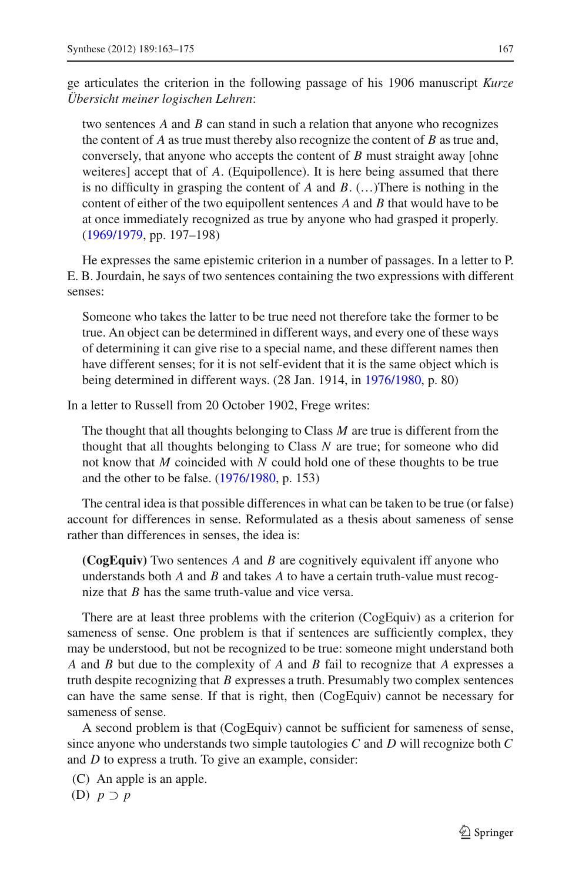ge articulates the criterion in the following passage of his 1906 manuscript *Kurze Übersicht meiner logischen Lehren*:

two sentences *A* and *B* can stand in such a relation that anyone who recognizes the content of *A* as true must thereby also recognize the content of *B* as true and, conversely, that anyone who accepts the content of *B* must straight away [ohne weiteres] accept that of *A*. (Equipollence). It is here being assumed that there is no difficulty in grasping the content of *A* and *B*. (…)There is nothing in the content of either of the two equipollent sentences *A* and *B* that would have to be at once immediately recognized as true by anyone who had grasped it properly. (1969/1979, pp. 197–198)

He expresses the same epistemic criterion in a number of passages. In a letter to P. E. B. Jourdain, he says of two sentences containing the two expressions with different senses:

Someone who takes the latter to be true need not therefore take the former to be true. An object can be determined in different ways, and every one of these ways of determining it can give rise to a special name, and these different names then have different senses; for it is not self-evident that it is the same object which is being determined in different ways. (28 Jan. 1914, in 1976/1980, p. 80)

In a letter to Russell from 20 October 1902, Frege writes:

The thought that all thoughts belonging to Class *M* are true is different from the thought that all thoughts belonging to Class *N* are true; for someone who did not know that *M* coincided with *N* could hold one of these thoughts to be true and the other to be false. (1976/1980, p. 153)

The central idea is that possible differences in what can be taken to be true (or false) account for differences in sense. Reformulated as a thesis about sameness of sense rather than differences in senses, the idea is:

**(CogEquiv)** Two sentences *A* and *B* are cognitively equivalent iff anyone who understands both *A* and *B* and takes *A* to have a certain truth-value must recognize that *B* has the same truth-value and vice versa.

There are at least three problems with the criterion (CogEquiv) as a criterion for sameness of sense. One problem is that if sentences are sufficiently complex, they may be understood, but not be recognized to be true: someone might understand both *A* and *B* but due to the complexity of *A* and *B* fail to recognize that *A* expresses a truth despite recognizing that *B* expresses a truth. Presumably two complex sentences can have the same sense. If that is right, then (CogEquiv) cannot be necessary for sameness of sense.

A second problem is that (CogEquiv) cannot be sufficient for sameness of sense, since anyone who understands two simple tautologies *C* and *D* will recognize both *C* and *D* to express a truth. To give an example, consider:

(C) An apple is an apple.

(D) *p* ⊃ *p*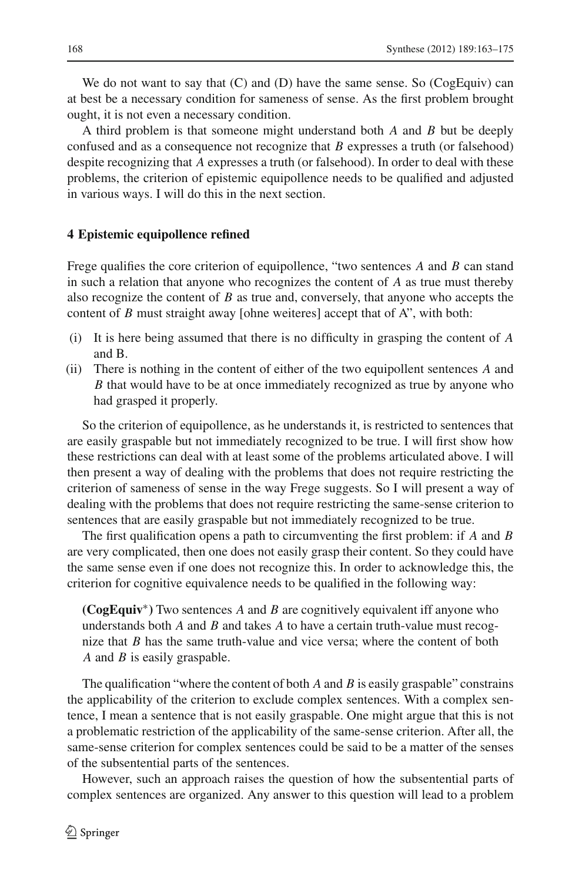We do not want to say that  $(C)$  and  $(D)$  have the same sense. So  $(CogEquiv)$  can at best be a necessary condition for sameness of sense. As the first problem brought ought, it is not even a necessary condition.

A third problem is that someone might understand both *A* and *B* but be deeply confused and as a consequence not recognize that *B* expresses a truth (or falsehood) despite recognizing that *A* expresses a truth (or falsehood). In order to deal with these problems, the criterion of epistemic equipollence needs to be qualified and adjusted in various ways. I will do this in the next section.

### **4 Epistemic equipollence refined**

Frege qualifies the core criterion of equipollence, "two sentences *A* and *B* can stand in such a relation that anyone who recognizes the content of *A* as true must thereby also recognize the content of *B* as true and, conversely, that anyone who accepts the content of *B* must straight away [ohne weiteres] accept that of A", with both:

- (i) It is here being assumed that there is no difficulty in grasping the content of *A* and B.
- (ii) There is nothing in the content of either of the two equipollent sentences *A* and *B* that would have to be at once immediately recognized as true by anyone who had grasped it properly.

So the criterion of equipollence, as he understands it, is restricted to sentences that are easily graspable but not immediately recognized to be true. I will first show how these restrictions can deal with at least some of the problems articulated above. I will then present a way of dealing with the problems that does not require restricting the criterion of sameness of sense in the way Frege suggests. So I will present a way of dealing with the problems that does not require restricting the same-sense criterion to sentences that are easily graspable but not immediately recognized to be true.

The first qualification opens a path to circumventing the first problem: if *A* and *B* are very complicated, then one does not easily grasp their content. So they could have the same sense even if one does not recognize this. In order to acknowledge this, the criterion for cognitive equivalence needs to be qualified in the following way:

**(CogEquiv**∗**)** Two sentences *A* and *B* are cognitively equivalent iff anyone who understands both *A* and *B* and takes *A* to have a certain truth-value must recognize that *B* has the same truth-value and vice versa; where the content of both *A* and *B* is easily graspable.

The qualification "where the content of both *A* and *B* is easily graspable" constrains the applicability of the criterion to exclude complex sentences. With a complex sentence, I mean a sentence that is not easily graspable. One might argue that this is not a problematic restriction of the applicability of the same-sense criterion. After all, the same-sense criterion for complex sentences could be said to be a matter of the senses of the subsentential parts of the sentences.

However, such an approach raises the question of how the subsentential parts of complex sentences are organized. Any answer to this question will lead to a problem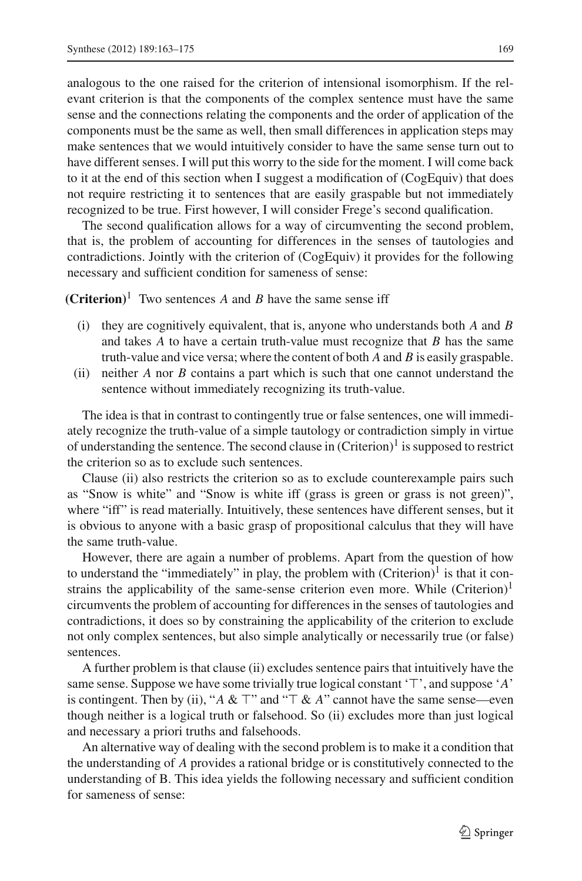analogous to the one raised for the criterion of intensional isomorphism. If the relevant criterion is that the components of the complex sentence must have the same sense and the connections relating the components and the order of application of the components must be the same as well, then small differences in application steps may make sentences that we would intuitively consider to have the same sense turn out to have different senses. I will put this worry to the side for the moment. I will come back to it at the end of this section when I suggest a modification of (CogEquiv) that does not require restricting it to sentences that are easily graspable but not immediately recognized to be true. First however, I will consider Frege's second qualification.

The second qualification allows for a way of circumventing the second problem, that is, the problem of accounting for differences in the senses of tautologies and contradictions. Jointly with the criterion of (CogEquiv) it provides for the following necessary and sufficient condition for sameness of sense:

**(Criterion)**<sup>1</sup> Two sentences *A* and *B* have the same sense iff

- (i) they are cognitively equivalent, that is, anyone who understands both *A* and *B* and takes *A* to have a certain truth-value must recognize that *B* has the same truth-value and vice versa; where the content of both *A* and *B* is easily graspable.
- (ii) neither *A* nor *B* contains a part which is such that one cannot understand the sentence without immediately recognizing its truth-value.

The idea is that in contrast to contingently true or false sentences, one will immediately recognize the truth-value of a simple tautology or contradiction simply in virtue of understanding the sentence. The second clause in  $(Criterion)^{1}$  is supposed to restrict the criterion so as to exclude such sentences.

Clause (ii) also restricts the criterion so as to exclude counterexample pairs such as "Snow is white" and "Snow is white iff (grass is green or grass is not green)", where "iff" is read materially. Intuitively, these sentences have different senses, but it is obvious to anyone with a basic grasp of propositional calculus that they will have the same truth-value.

However, there are again a number of problems. Apart from the question of how to understand the "immediately" in play, the problem with  $(Criterion)^{1}$  is that it constrains the applicability of the same-sense criterion even more. While  $(Criterion)^{1}$ circumvents the problem of accounting for differences in the senses of tautologies and contradictions, it does so by constraining the applicability of the criterion to exclude not only complex sentences, but also simple analytically or necessarily true (or false) sentences.

A further problem is that clause (ii) excludes sentence pairs that intuitively have the same sense. Suppose we have some trivially true logical constant '<sup>T</sup>', and suppose '*A*' is contingent. Then by (ii), "*A* &  $T$ " and " $T$  & *A*" cannot have the same sense—even though neither is a logical truth or falsehood. So (ii) excludes more than just logical and necessary a priori truths and falsehoods.

An alternative way of dealing with the second problem is to make it a condition that the understanding of *A* provides a rational bridge or is constitutively connected to the understanding of B. This idea yields the following necessary and sufficient condition for sameness of sense: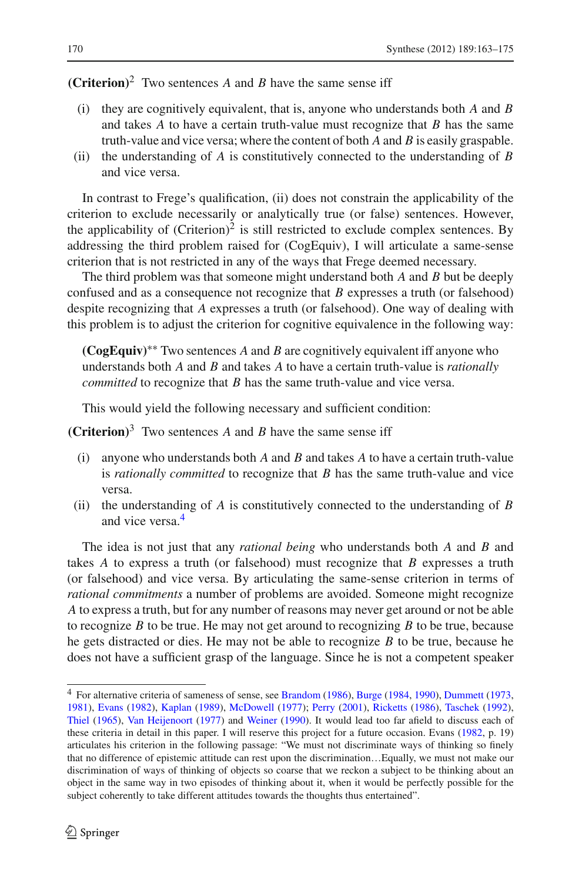# **(Criterion)**<sup>2</sup> Two sentences  $A$  and  $B$  have the same sense iff

- (i) they are cognitively equivalent, that is, anyone who understands both *A* and *B* and takes *A* to have a certain truth-value must recognize that *B* has the same truth-value and vice versa; where the content of both *A* and *B* is easily graspable.
- (ii) the understanding of *A* is constitutively connected to the understanding of *B* and vice versa.

In contrast to Frege's qualification, (ii) does not constrain the applicability of the criterion to exclude necessarily or analytically true (or false) sentences. However, the applicability of  $(Criterion)^2$  is still restricted to exclude complex sentences. By addressing the third problem raised for (CogEquiv), I will articulate a same-sense criterion that is not restricted in any of the ways that Frege deemed necessary.

The third problem was that someone might understand both *A* and *B* but be deeply confused and as a consequence not recognize that *B* expresses a truth (or falsehood) despite recognizing that *A* expresses a truth (or falsehood). One way of dealing with this problem is to adjust the criterion for cognitive equivalence in the following way:

**(CogEquiv)**∗∗ Two sentences *A* and *B* are cognitively equivalent iff anyone who understands both *A* and *B* and takes *A* to have a certain truth-value is *rationally committed* to recognize that *B* has the same truth-value and vice versa.

This would yield the following necessary and sufficient condition:

**(Criterion)**<sup>3</sup> Two sentences  $A$  and  $B$  have the same sense iff

- (i) anyone who understands both *A* and *B* and takes *A* to have a certain truth-value is *rationally committed* to recognize that *B* has the same truth-value and vice versa.
- (ii) the understanding of *A* is constitutively connected to the understanding of *B* and vice versa.<sup>4</sup>

The idea is not just that any *rational being* who understands both *A* and *B* and takes *A* to express a truth (or falsehood) must recognize that *B* expresses a truth (or falsehood) and vice versa. By articulating the same-sense criterion in terms of *rational commitments* a number of problems are avoided. Someone might recognize *A* to express a truth, but for any number of reasons may never get around or not be able to recognize  $B$  to be true. He may not get around to recognizing  $B$  to be true, because he gets distracted or dies. He may not be able to recognize *B* to be true, because he does not have a sufficient grasp of the language. Since he is not a competent speaker

<sup>4</sup> For alternative criteria of sameness of sense, see Brandom (1986), Burge (1984, 1990), Dummett (1973, 1981), Evans (1982), Kaplan (1989), McDowell (1977); Perry (2001), Ricketts (1986), Taschek (1992), Thiel (1965), Van Heijenoort (1977) and Weiner (1990). It would lead too far afield to discuss each of these criteria in detail in this paper. I will reserve this project for a future occasion. Evans (1982, p. 19) articulates his criterion in the following passage: "We must not discriminate ways of thinking so finely that no difference of epistemic attitude can rest upon the discrimination…Equally, we must not make our discrimination of ways of thinking of objects so coarse that we reckon a subject to be thinking about an object in the same way in two episodes of thinking about it, when it would be perfectly possible for the subject coherently to take different attitudes towards the thoughts thus entertained".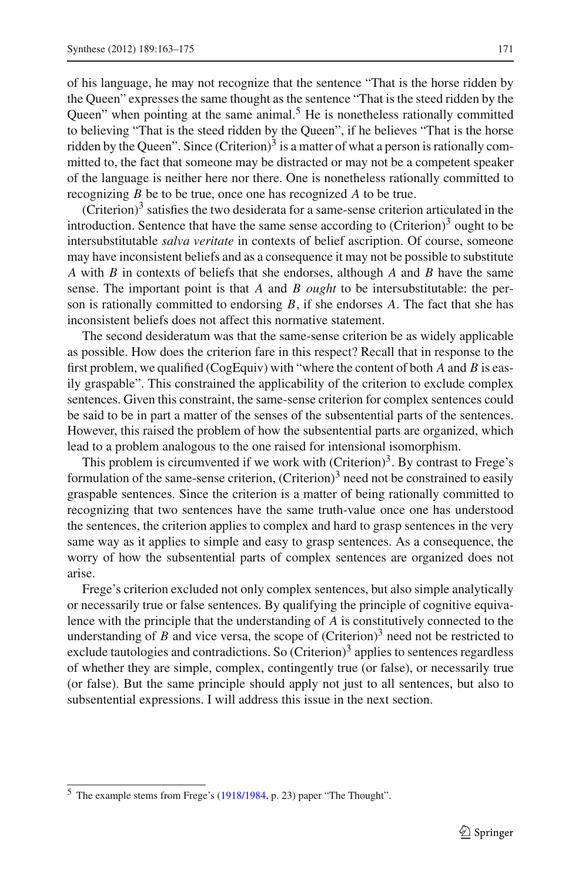of his language, he may not recognize that the sentence "That is the horse ridden by the Queen" expresses the same thought as the sentence "That is the steed ridden by the Queen" when pointing at the same animal.<sup>5</sup> He is nonetheless rationally committed to believing "That is the steed ridden by the Queen", if he believes "That is the horse ridden by the Queen". Since  $(Criterion)^3$  is a matter of what a person is rationally committed to, the fact that someone may be distracted or may not be a competent speaker of the language is neither here nor there. One is nonetheless rationally committed to recognizing *B* be to be true, once one has recognized *A* to be true.

 $(Criterion)^3$  satisfies the two desiderata for a same-sense criterion articulated in the introduction. Sentence that have the same sense according to  $(Criterion)^3$  ought to be intersubstitutable *salva veritate* in contexts of belief ascription. Of course, someone may have inconsistent beliefs and as a consequence it may not be possible to substitute *A* with *B* in contexts of beliefs that she endorses, although *A* and *B* have the same sense. The important point is that *A* and *B ought* to be intersubstitutable: the person is rationally committed to endorsing *B*, if she endorses *A*. The fact that she has inconsistent beliefs does not affect this normative statement.

The second desideratum was that the same-sense criterion be as widely applicable as possible. How does the criterion fare in this respect? Recall that in response to the first problem, we qualified (CogEquiv) with "where the content of both *A* and *B* is easily graspable". This constrained the applicability of the criterion to exclude complex sentences. Given this constraint, the same-sense criterion for complex sentences could be said to be in part a matter of the senses of the subsentential parts of the sentences. However, this raised the problem of how the subsentential parts are organized, which lead to a problem analogous to the one raised for intensional isomorphism.

This problem is circumvented if we work with  $(Criterion)^3$ . By contrast to Frege's formulation of the same-sense criterion,  $(Criterion)^3$  need not be constrained to easily graspable sentences. Since the criterion is a matter of being rationally committed to recognizing that two sentences have the same truth-value once one has understood the sentences, the criterion applies to complex and hard to grasp sentences in the very same way as it applies to simple and easy to grasp sentences. As a consequence, the worry of how the subsentential parts of complex sentences are organized does not arise.

Frege's criterion excluded not only complex sentences, but also simple analytically or necessarily true or false sentences. By qualifying the principle of cognitive equivalence with the principle that the understanding of *A* is constitutively connected to the understanding of *B* and vice versa, the scope of  $(Criterion)^3$  need not be restricted to exclude tautologies and contradictions. So  $(Criterion)^3$  applies to sentences regardless of whether they are simple, complex, contingently true (or false), or necessarily true (or false). But the same principle should apply not just to all sentences, but also to subsentential expressions. I will address this issue in the next section.

<sup>5</sup> The example stems from Frege's (1918/1984, p. 23) paper "The Thought".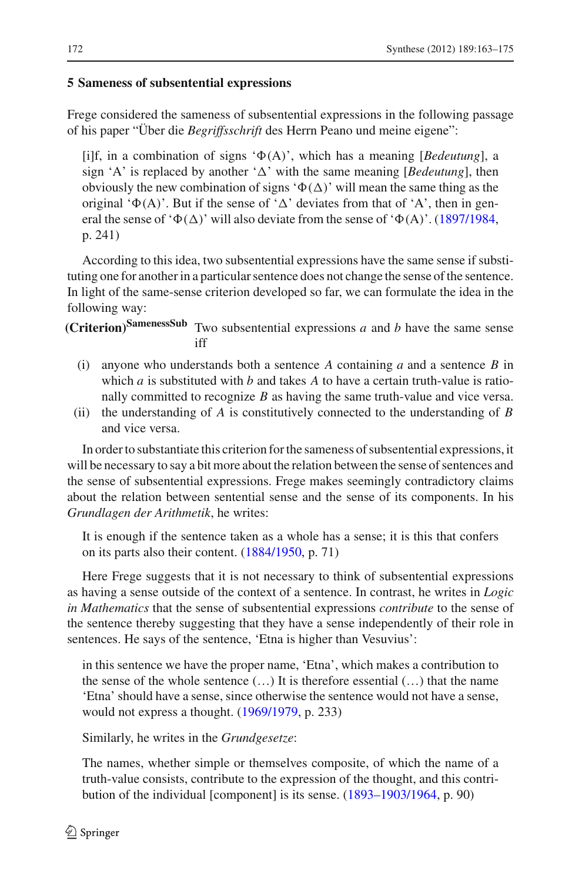# **5 Sameness of subsentential expressions**

Frege considered the sameness of subsentential expressions in the following passage of his paper "Über die *Begriffsschrift* des Herrn Peano und meine eigene":

[i]f, in a combination of signs ' $\Phi(A)$ ', which has a meaning [*Bedeutung*], a sign 'A' is replaced by another ' $\Delta$ ' with the same meaning [*Bedeutung*], then obviously the new combination of signs ' $\Phi(\Delta)$ ' will mean the same thing as the original ' $\Phi(A)$ '. But if the sense of ' $\Delta$ ' deviates from that of 'A', then in general the sense of ' $\Phi(\Delta)$ ' will also deviate from the sense of ' $\Phi(A)$ '. (1897/1984, p. 241)

According to this idea, two subsentential expressions have the same sense if substituting one for another in a particular sentence does not change the sense of the sentence. In light of the same-sense criterion developed so far, we can formulate the idea in the following way:

**(Criterion)SamenessSub** Two subsentential expressions *a* and *b* have the same sense iff

- (i) anyone who understands both a sentence *A* containing *a* and a sentence *B* in which *a* is substituted with *b* and takes *A* to have a certain truth-value is rationally committed to recognize *B* as having the same truth-value and vice versa.
- (ii) the understanding of *A* is constitutively connected to the understanding of *B* and vice versa.

In order to substantiate this criterion for the sameness of subsentential expressions, it will be necessary to say a bit more about the relation between the sense of sentences and the sense of subsentential expressions. Frege makes seemingly contradictory claims about the relation between sentential sense and the sense of its components. In his *Grundlagen der Arithmetik*, he writes:

It is enough if the sentence taken as a whole has a sense; it is this that confers on its parts also their content. (1884/1950, p. 71)

Here Frege suggests that it is not necessary to think of subsentential expressions as having a sense outside of the context of a sentence. In contrast, he writes in *Logic in Mathematics* that the sense of subsentential expressions *contribute* to the sense of the sentence thereby suggesting that they have a sense independently of their role in sentences. He says of the sentence, 'Etna is higher than Vesuvius':

in this sentence we have the proper name, 'Etna', which makes a contribution to the sense of the whole sentence  $(...)$  It is therefore essential  $(...)$  that the name 'Etna' should have a sense, since otherwise the sentence would not have a sense, would not express a thought. (1969/1979, p. 233)

Similarly, he writes in the *Grundgesetze*:

The names, whether simple or themselves composite, of which the name of a truth-value consists, contribute to the expression of the thought, and this contribution of the individual [component] is its sense. (1893–1903/1964, p. 90)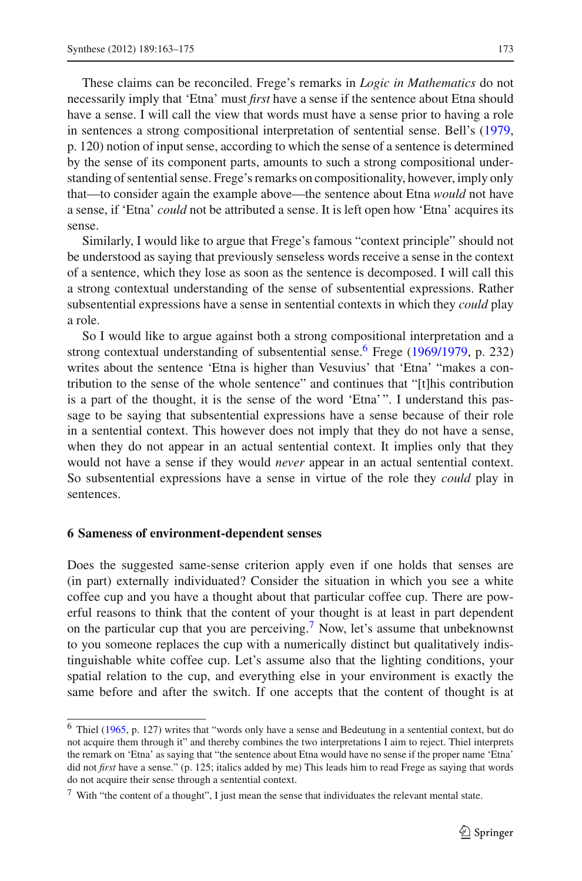These claims can be reconciled. Frege's remarks in *Logic in Mathematics* do not necessarily imply that 'Etna' must *first* have a sense if the sentence about Etna should have a sense. I will call the view that words must have a sense prior to having a role in sentences a strong compositional interpretation of sentential sense. Bell's (1979, p. 120) notion of input sense, according to which the sense of a sentence is determined by the sense of its component parts, amounts to such a strong compositional understanding of sentential sense. Frege's remarks on compositionality, however, imply only that—to consider again the example above—the sentence about Etna *would* not have a sense, if 'Etna' *could* not be attributed a sense. It is left open how 'Etna' acquires its sense.

Similarly, I would like to argue that Frege's famous "context principle" should not be understood as saying that previously senseless words receive a sense in the context of a sentence, which they lose as soon as the sentence is decomposed. I will call this a strong contextual understanding of the sense of subsentential expressions. Rather subsentential expressions have a sense in sentential contexts in which they *could* play a role.

So I would like to argue against both a strong compositional interpretation and a strong contextual understanding of subsentential sense.<sup>6</sup> Frege (1969/1979, p. 232) writes about the sentence 'Etna is higher than Vesuvius' that 'Etna' "makes a contribution to the sense of the whole sentence" and continues that "[t]his contribution is a part of the thought, it is the sense of the word 'Etna' ". I understand this passage to be saying that subsentential expressions have a sense because of their role in a sentential context. This however does not imply that they do not have a sense, when they do not appear in an actual sentential context. It implies only that they would not have a sense if they would *never* appear in an actual sentential context. So subsentential expressions have a sense in virtue of the role they *could* play in sentences.

### **6 Sameness of environment-dependent senses**

Does the suggested same-sense criterion apply even if one holds that senses are (in part) externally individuated? Consider the situation in which you see a white coffee cup and you have a thought about that particular coffee cup. There are powerful reasons to think that the content of your thought is at least in part dependent on the particular cup that you are perceiving.<sup>7</sup> Now, let's assume that unbeknownst to you someone replaces the cup with a numerically distinct but qualitatively indistinguishable white coffee cup. Let's assume also that the lighting conditions, your spatial relation to the cup, and everything else in your environment is exactly the same before and after the switch. If one accepts that the content of thought is at

<sup>&</sup>lt;sup>6</sup> Thiel (1965, p. 127) writes that "words only have a sense and Bedeutung in a sentential context, but do not acquire them through it" and thereby combines the two interpretations I aim to reject. Thiel interprets the remark on 'Etna' as saying that "the sentence about Etna would have no sense if the proper name 'Etna' did not *first* have a sense." (p. 125; italics added by me) This leads him to read Frege as saying that words do not acquire their sense through a sentential context.

 $\frac{7}{1}$  With "the content of a thought", I just mean the sense that individuates the relevant mental state.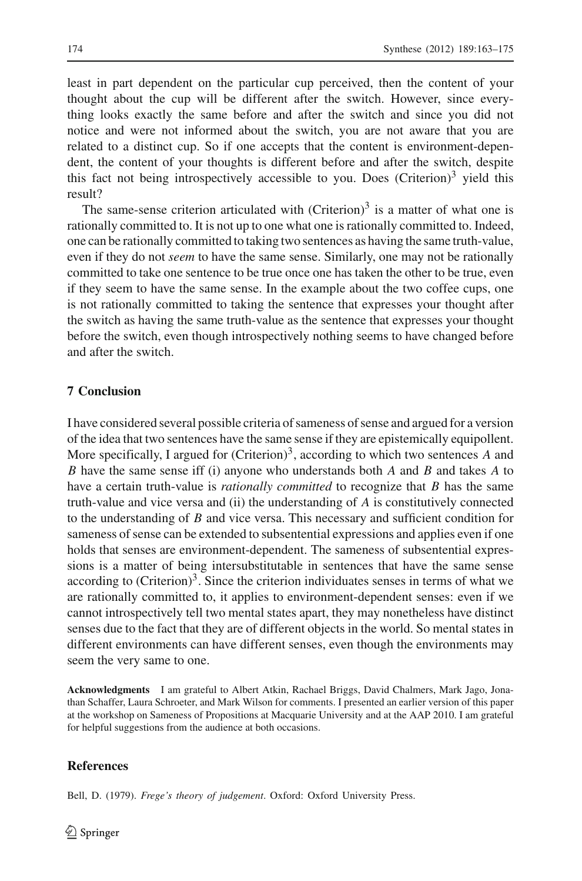least in part dependent on the particular cup perceived, then the content of your thought about the cup will be different after the switch. However, since everything looks exactly the same before and after the switch and since you did not notice and were not informed about the switch, you are not aware that you are related to a distinct cup. So if one accepts that the content is environment-dependent, the content of your thoughts is different before and after the switch, despite this fact not being introspectively accessible to you. Does  $(Criterion)^3$  yield this result?

The same-sense criterion articulated with  $(Criterion)^3$  is a matter of what one is rationally committed to. It is not up to one what one is rationally committed to. Indeed, one can be rationally committed to taking two sentences as having the same truth-value, even if they do not *seem* to have the same sense. Similarly, one may not be rationally committed to take one sentence to be true once one has taken the other to be true, even if they seem to have the same sense. In the example about the two coffee cups, one is not rationally committed to taking the sentence that expresses your thought after the switch as having the same truth-value as the sentence that expresses your thought before the switch, even though introspectively nothing seems to have changed before and after the switch.

## **7 Conclusion**

I have considered several possible criteria of sameness of sense and argued for a version of the idea that two sentences have the same sense if they are epistemically equipollent. More specifically, I argued for  $(Criterion)^3$ , according to which two sentences A and *B* have the same sense iff (i) anyone who understands both *A* and *B* and takes *A* to have a certain truth-value is *rationally committed* to recognize that *B* has the same truth-value and vice versa and (ii) the understanding of *A* is constitutively connected to the understanding of *B* and vice versa. This necessary and sufficient condition for sameness of sense can be extended to subsentential expressions and applies even if one holds that senses are environment-dependent. The sameness of subsentential expressions is a matter of being intersubstitutable in sentences that have the same sense according to  $(Criterion)^3$ . Since the criterion individuates senses in terms of what we are rationally committed to, it applies to environment-dependent senses: even if we cannot introspectively tell two mental states apart, they may nonetheless have distinct senses due to the fact that they are of different objects in the world. So mental states in different environments can have different senses, even though the environments may seem the very same to one.

**Acknowledgments** I am grateful to Albert Atkin, Rachael Briggs, David Chalmers, Mark Jago, Jonathan Schaffer, Laura Schroeter, and Mark Wilson for comments. I presented an earlier version of this paper at the workshop on Sameness of Propositions at Macquarie University and at the AAP 2010. I am grateful for helpful suggestions from the audience at both occasions.

### **References**

Bell, D. (1979). *Frege's theory of judgement*. Oxford: Oxford University Press.